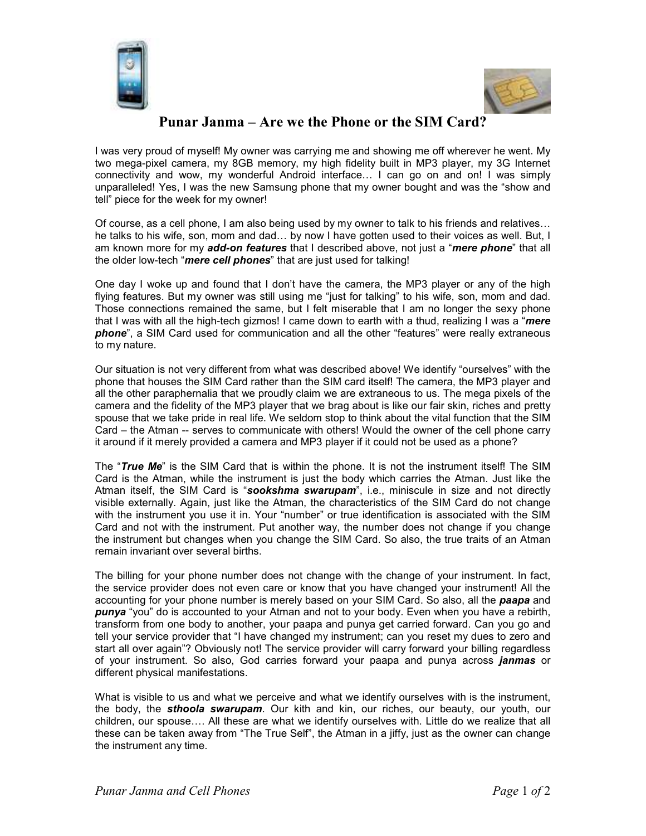



## **Punar Janma – Are we the Phone or the SIM Card?**

I was very proud of myself! My owner was carrying me and showing me off wherever he went. My two mega-pixel camera, my 8GB memory, my high fidelity built in MP3 player, my 3G Internet connectivity and wow, my wonderful Android interface... I can go on and on! I was simply unparalleled! Yes, I was the new Samsung phone that my owner bought and was the "show and tell" piece for the week for my owner!

Of course, as a cell phone, I am also being used by my owner to talk to his friends and relatives... he talks to his wife, son, mom and dad... by now I have gotten used to their voices as well. But, I am known more for my *add-on features* that I described above, not just a "*mere phone*" that all the older low-tech "*mere cell phones*" that are just used for talking!

One day I woke up and found that I don't have the camera, the MP3 player or any of the high flying features. But my owner was still using me "just for talking" to his wife, son, mom and dad. Those connections remained the same, but I felt miserable that I am no longer the sexy phone that I was with all the high-tech gizmos! I came down to earth with a thud, realizing I was a "*mere phone*", a SIM Card used for communication and all the other "features" were really extraneous to my nature.

Our situation is not very different from what was described above! We identify "ourselves" with the phone that houses the SIM Card rather than the SIM card itself! The camera, the MP3 player and all the other paraphernalia that we proudly claim we are extraneous to us. The mega pixels of the camera and the fidelity of the MP3 player that we brag about is like our fair skin, riches and pretty spouse that we take pride in real life. We seldom stop to think about the vital function that the SIM Card – the Atman -- serves to communicate with others! Would the owner of the cell phone carry it around if it merely provided a camera and MP3 player if it could not be used as a phone?

The "*True Me*" is the SIM Card that is within the phone. It is not the instrument itself! The SIM Card is the Atman, while the instrument is just the body which carries the Atman. Just like the Atman itself, the SIM Card is "*sookshma swarupam*", i.e., miniscule in size and not directly visible externally. Again, just like the Atman, the characteristics of the SIM Card do not change with the instrument you use it in. Your "number" or true identification is associated with the SIM Card and not with the instrument. Put another way, the number does not change if you change the instrument but changes when you change the SIM Card. So also, the true traits of an Atman remain invariant over several births.

The billing for your phone number does not change with the change of your instrument. In fact, the service provider does not even care or know that you have changed your instrument! All the accounting for your phone number is merely based on your SIM Card. So also, all the *paapa* and *punya* "you" do is accounted to your Atman and not to your body. Even when you have a rebirth, transform from one body to another, your paapa and punya get carried forward. Can you go and tell your service provider that "I have changed my instrument; can you reset my dues to zero and start all over again"? Obviously not! The service provider will carry forward your billing regardless of your instrument. So also, God carries forward your paapa and punya across *janmas* or different physical manifestations.

What is visible to us and what we perceive and what we identify ourselves with is the instrument, the body, the *sthoola swarupam*. Our kith and kin, our riches, our beauty, our youth, our children, our spouse.... All these are what we identify ourselves with. Little do we realize that all these can be taken away from "The True Self", the Atman in a jiffy, just as the owner can change the instrument any time.